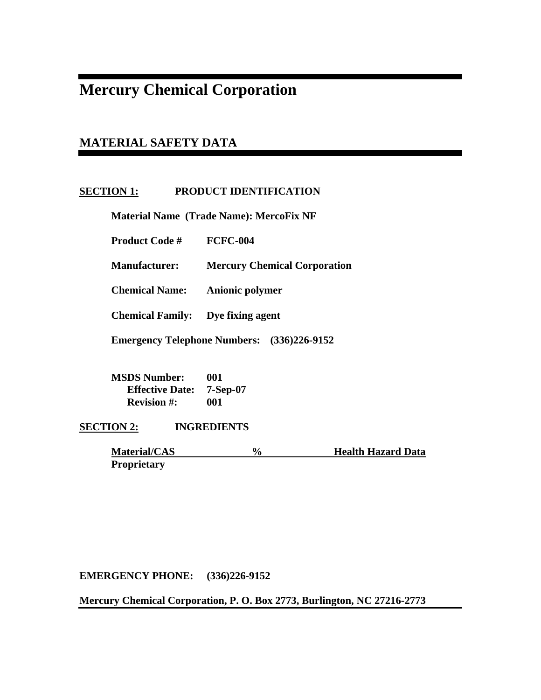# **Mercury Chemical Corporation**

# **MATERIAL SAFETY DATA**

# **SECTION 1: PRODUCT IDENTIFICATION**

 **Material Name (Trade Name): MercoFix NF** 

 **Product Code # FCFC-004** 

 **Manufacturer: Mercury Chemical Corporation** 

 **Chemical Name: Anionic polymer** 

 **Chemical Family: Dye fixing agent** 

 **Emergency Telephone Numbers: (336)226-9152** 

 **MSDS Number: 001 Effective Date: 7-Sep-07 Revision #: 001** 

**SECTION 2: INGREDIENTS** 

**Material/CAS** % Health Hazard Data  **Proprietary** 

**EMERGENCY PHONE: (336)226-9152** 

**Mercury Chemical Corporation, P. O. Box 2773, Burlington, NC 27216-2773**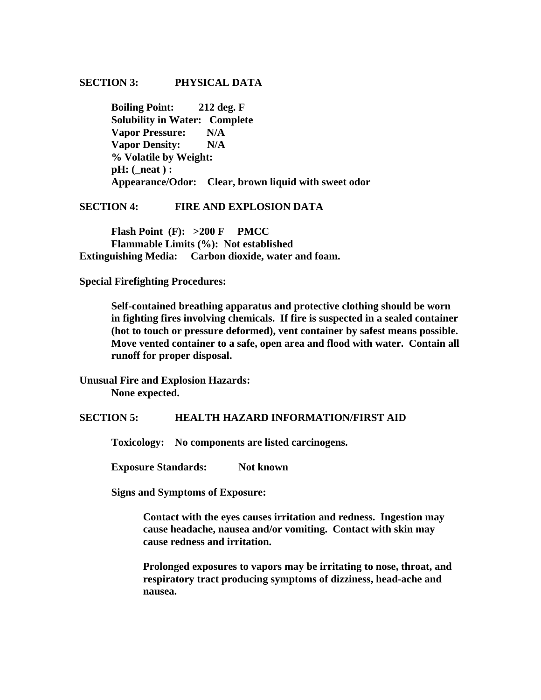## **SECTION 3: PHYSICAL DATA**

 **Boiling Point: 212 deg. F Solubility in Water: Complete Vapor Pressure: N/A Vapor Density: N/A % Volatile by Weight: pH: (\_neat ) : Appearance/Odor: Clear, brown liquid with sweet odor** 

**SECTION 4: FIRE AND EXPLOSION DATA** 

 **Flash Point (F): >200 F PMCC Flammable Limits (%): Not established Extinguishing Media: Carbon dioxide, water and foam.** 

**Special Firefighting Procedures:** 

**Self-contained breathing apparatus and protective clothing should be worn in fighting fires involving chemicals. If fire is suspected in a sealed container (hot to touch or pressure deformed), vent container by safest means possible. Move vented container to a safe, open area and flood with water. Contain all runoff for proper disposal.** 

**Unusual Fire and Explosion Hazards: None expected.** 

**SECTION 5: HEALTH HAZARD INFORMATION/FIRST AID** 

 **Toxicology: No components are listed carcinogens.** 

**Exposure Standards:** Not known

 **Signs and Symptoms of Exposure:** 

**Contact with the eyes causes irritation and redness. Ingestion may cause headache, nausea and/or vomiting. Contact with skin may cause redness and irritation.** 

**Prolonged exposures to vapors may be irritating to nose, throat, and respiratory tract producing symptoms of dizziness, head-ache and nausea.**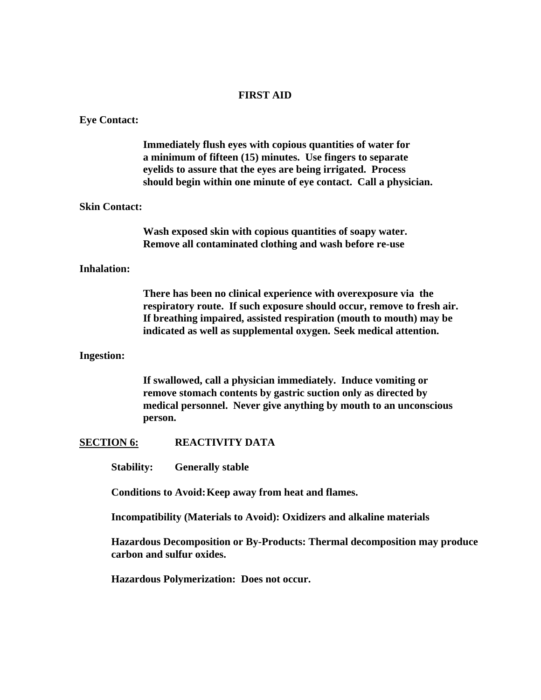# **FIRST AID**

# **Eye Contact:**

|                      | Immediately flush eyes with copious quantities of water for<br>a minimum of fifteen (15) minutes. Use fingers to separate<br>eyelids to assure that the eyes are being irrigated. Process<br>should begin within one minute of eye contact. Call a physician.                         |
|----------------------|---------------------------------------------------------------------------------------------------------------------------------------------------------------------------------------------------------------------------------------------------------------------------------------|
| <b>Skin Contact:</b> |                                                                                                                                                                                                                                                                                       |
|                      | Wash exposed skin with copious quantities of soapy water.<br>Remove all contaminated clothing and wash before re-use                                                                                                                                                                  |
| <b>Inhalation:</b>   |                                                                                                                                                                                                                                                                                       |
|                      | There has been no clinical experience with overexposure via the<br>respiratory route. If such exposure should occur, remove to fresh air.<br>If breathing impaired, assisted respiration (mouth to mouth) may be<br>indicated as well as supplemental oxygen. Seek medical attention. |
| <b>Ingestion:</b>    |                                                                                                                                                                                                                                                                                       |
|                      | If swallowed, call a physician immediately. Induce vomiting or<br>remove stomach contents by gastric suction only as directed by<br>medical personnel. Never give anything by mouth to an unconscious<br>person.                                                                      |
| <b>SECTION 6:</b>    | <b>REACTIVITY DATA</b>                                                                                                                                                                                                                                                                |
| <b>Stability:</b>    | <b>Generally stable</b>                                                                                                                                                                                                                                                               |
|                      | Conditions to Avoid: Keep away from heat and flames.                                                                                                                                                                                                                                  |
|                      | Incompatibility (Materials to Avoid): Oxidizers and alkaline materials                                                                                                                                                                                                                |

**Hazardous Decomposition or By-Products: Thermal decomposition may produce carbon and sulfur oxides.** 

**Hazardous Polymerization: Does not occur.**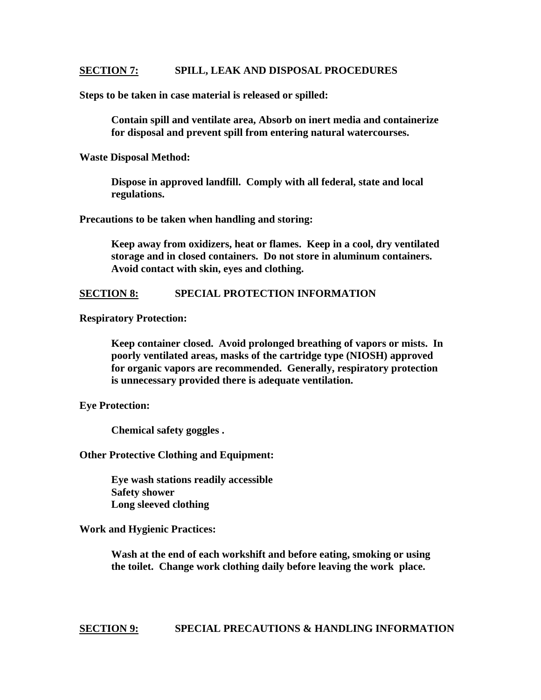### **SECTION 7: SPILL, LEAK AND DISPOSAL PROCEDURES**

**Steps to be taken in case material is released or spilled:** 

 **Contain spill and ventilate area, Absorb on inert media and containerize for disposal and prevent spill from entering natural watercourses.** 

**Waste Disposal Method:** 

 **Dispose in approved landfill. Comply with all federal, state and local regulations.** 

**Precautions to be taken when handling and storing:** 

 **Keep away from oxidizers, heat or flames. Keep in a cool, dry ventilated storage and in closed containers. Do not store in aluminum containers. Avoid contact with skin, eyes and clothing.** 

### **SECTION 8: SPECIAL PROTECTION INFORMATION**

**Respiratory Protection:** 

**Keep container closed. Avoid prolonged breathing of vapors or mists. In poorly ventilated areas, masks of the cartridge type (NIOSH) approved for organic vapors are recommended. Generally, respiratory protection is unnecessary provided there is adequate ventilation.** 

**Eye Protection:** 

 **Chemical safety goggles .** 

#### **Other Protective Clothing and Equipment:**

 **Eye wash stations readily accessible Safety shower Long sleeved clothing** 

**Work and Hygienic Practices:** 

 **Wash at the end of each workshift and before eating, smoking or using the toilet. Change work clothing daily before leaving the work place.** 

**SECTION 9: SPECIAL PRECAUTIONS & HANDLING INFORMATION**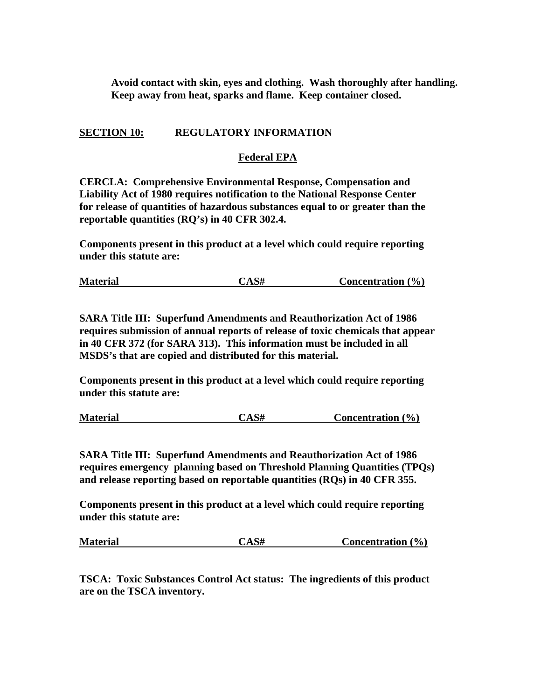**Avoid contact with skin, eyes and clothing. Wash thoroughly after handling. Keep away from heat, sparks and flame. Keep container closed.** 

# **SECTION 10: REGULATORY INFORMATION**

# **Federal EPA**

**CERCLA: Comprehensive Environmental Response, Compensation and Liability Act of 1980 requires notification to the National Response Center for release of quantities of hazardous substances equal to or greater than the reportable quantities (RQ's) in 40 CFR 302.4.** 

**Components present in this product at a level which could require reporting under this statute are:** 

| <b>Material</b> | CAS# | Concentration $(\% )$ |  |
|-----------------|------|-----------------------|--|
|-----------------|------|-----------------------|--|

**SARA Title III: Superfund Amendments and Reauthorization Act of 1986 requires submission of annual reports of release of toxic chemicals that appear in 40 CFR 372 (for SARA 313). This information must be included in all MSDS's that are copied and distributed for this material.** 

**Components present in this product at a level which could require reporting under this statute are:** 

**Material CAS# Concentration (%)**

**SARA Title III: Superfund Amendments and Reauthorization Act of 1986 requires emergency planning based on Threshold Planning Quantities (TPQs) and release reporting based on reportable quantities (RQs) in 40 CFR 355.** 

**Components present in this product at a level which could require reporting under this statute are:** 

**Material CAS# Concentration (%)**

**TSCA: Toxic Substances Control Act status: The ingredients of this product are on the TSCA inventory.**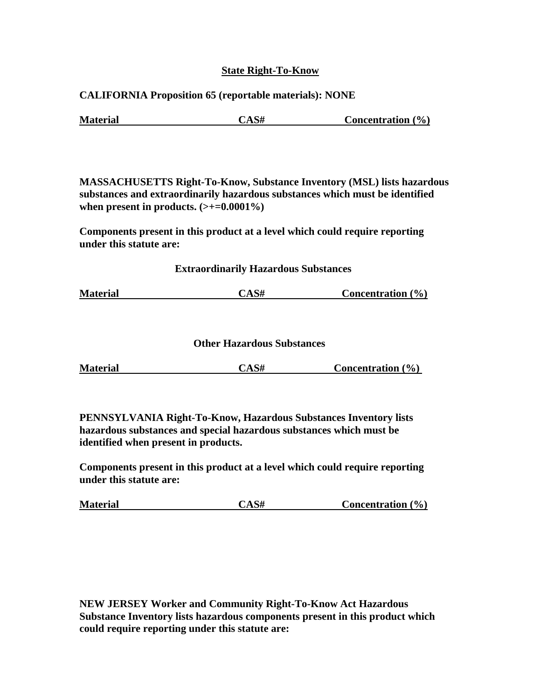# **State Right-To-Know**

# **CALIFORNIA Proposition 65 (reportable materials): NONE**

| <b>Material</b> | <b>CAS#</b> | Concentration $(\% )$ |
|-----------------|-------------|-----------------------|
|                 |             |                       |

**MASSACHUSETTS Right-To-Know, Substance Inventory (MSL) lists hazardous substances and extraordinarily hazardous substances which must be identified**  when present in products.  $(\geq+0.0001\%)$ 

**Components present in this product at a level which could require reporting under this statute are:** 

## **Extraordinarily Hazardous Substances**

# **Other Hazardous Substances**

| <b>Material</b> | CAS# | <b>Concentration</b> $(\% )$ |
|-----------------|------|------------------------------|
|                 |      |                              |

**PENNSYLVANIA Right-To-Know, Hazardous Substances Inventory lists hazardous substances and special hazardous substances which must be identified when present in products.** 

**Components present in this product at a level which could require reporting under this statute are:** 

| <b>Material</b> | CAS# | <b>Concentration</b> $(\% )$ |  |
|-----------------|------|------------------------------|--|
|-----------------|------|------------------------------|--|

**NEW JERSEY Worker and Community Right-To-Know Act Hazardous Substance Inventory lists hazardous components present in this product which could require reporting under this statute are:**